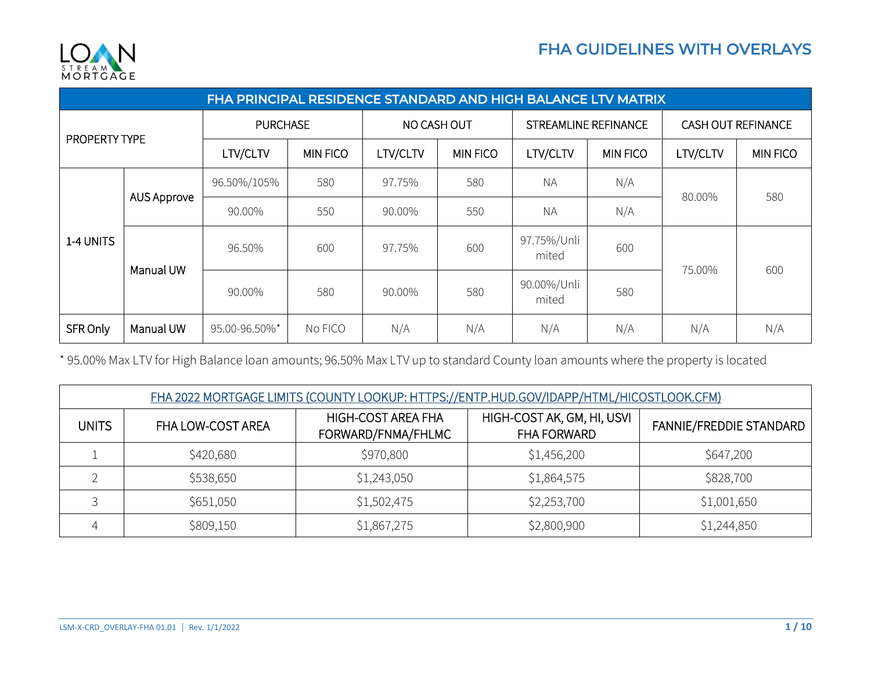

| FHA PRINCIPAL RESIDENCE STANDARD AND HIGH BALANCE LTV MATRIX |             |                 |                 |             |                 |                             |                 |                           |                 |
|--------------------------------------------------------------|-------------|-----------------|-----------------|-------------|-----------------|-----------------------------|-----------------|---------------------------|-----------------|
| PROPERTY TYPE                                                |             | <b>PURCHASE</b> |                 | NO CASH OUT |                 | <b>STREAMLINE REFINANCE</b> |                 | <b>CASH OUT REFINANCE</b> |                 |
|                                                              |             | LTV/CLTV        | <b>MIN FICO</b> | LTV/CLTV    | <b>MIN FICO</b> | LTV/CLTV                    | <b>MIN FICO</b> | LTV/CLTV                  | <b>MIN FICO</b> |
| 1-4 UNITS                                                    | AUS Approve | 96.50%/105%     | 580             | 97.75%      | 580             | <b>NA</b>                   | N/A             | 80.00%                    | 580             |
|                                                              |             | 90.00%          | 550             | 90.00%      | 550             | <b>NA</b>                   | N/A             |                           |                 |
|                                                              | Manual UW   | 96.50%          | 600             | 97.75%      | 600             | 97.75%/Unli<br>mited        | 600             | 75.00%                    | 600             |
|                                                              |             | 90.00%          | 580             | 90.00%      | 580             | 90.00%/Unli<br>mited        | 580             |                           |                 |
| SFR Only                                                     | Manual UW   | 95.00-96.50%*   | No FICO         | N/A         | N/A             | N/A                         | N/A             | N/A                       | N/A             |

\* 95.00% Max LTV for High Balance loan amounts; 96.50% Max LTV up to standard County loan amounts where the property is located

| FHA 2022 MORTGAGE LIMITS (COUNTY LOOKUP: HTTPS://ENTP.HUD.GOV/IDAPP/HTML/HICOSTLOOK.CFM) |                   |                                          |                                                  |                         |  |
|------------------------------------------------------------------------------------------|-------------------|------------------------------------------|--------------------------------------------------|-------------------------|--|
| <b>UNITS</b>                                                                             | FHA LOW-COST AREA | HIGH-COST AREA FHA<br>FORWARD/FNMA/FHLMC | HIGH-COST AK, GM, HI, USVI<br><b>FHA FORWARD</b> | FANNIE/FREDDIE STANDARD |  |
|                                                                                          | \$420,680         | \$970,800                                | \$1,456,200                                      | \$647,200               |  |
|                                                                                          | \$538,650         | \$1,243,050                              | \$1,864,575                                      | \$828,700               |  |
|                                                                                          | \$651,050         | \$1,502,475                              | \$2,253,700                                      | \$1,001,650             |  |
|                                                                                          | \$809,150         | \$1,867,275                              | \$2,800,900                                      | \$1,244,850             |  |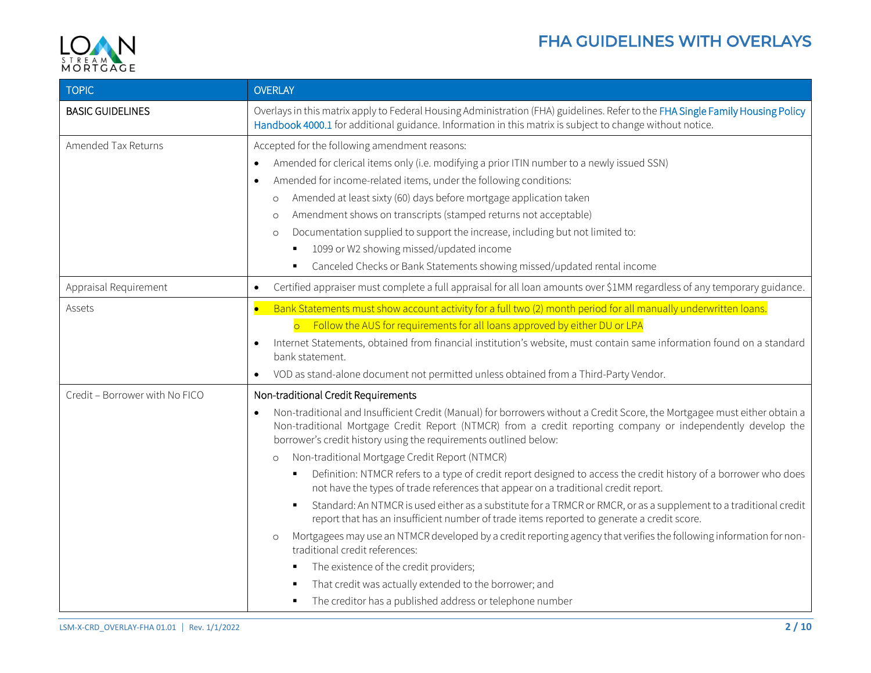

| <b>TOPIC</b>                   | <b>OVERLAY</b>                                                                                                                                                                                                                                                                                                                                                                                                                                                                                                                                                                                                                                                                                                                                                                                                                                                                                                                                                                                                                                                                                                                                                                                                        |
|--------------------------------|-----------------------------------------------------------------------------------------------------------------------------------------------------------------------------------------------------------------------------------------------------------------------------------------------------------------------------------------------------------------------------------------------------------------------------------------------------------------------------------------------------------------------------------------------------------------------------------------------------------------------------------------------------------------------------------------------------------------------------------------------------------------------------------------------------------------------------------------------------------------------------------------------------------------------------------------------------------------------------------------------------------------------------------------------------------------------------------------------------------------------------------------------------------------------------------------------------------------------|
| <b>BASIC GUIDELINES</b>        | Overlays in this matrix apply to Federal Housing Administration (FHA) guidelines. Refer to the FHA Single Family Housing Policy<br>Handbook 4000.1 for additional guidance. Information in this matrix is subject to change without notice.                                                                                                                                                                                                                                                                                                                                                                                                                                                                                                                                                                                                                                                                                                                                                                                                                                                                                                                                                                           |
| Amended Tax Returns            | Accepted for the following amendment reasons:<br>Amended for clerical items only (i.e. modifying a prior ITIN number to a newly issued SSN)<br>$\bullet$<br>Amended for income-related items, under the following conditions:<br>$\bullet$<br>Amended at least sixty (60) days before mortgage application taken<br>$\circ$<br>Amendment shows on transcripts (stamped returns not acceptable)<br>$\circ$<br>Documentation supplied to support the increase, including but not limited to:<br>$\circ$<br>1099 or W2 showing missed/updated income<br>Canceled Checks or Bank Statements showing missed/updated rental income<br>$\blacksquare$                                                                                                                                                                                                                                                                                                                                                                                                                                                                                                                                                                        |
| Appraisal Requirement          | Certified appraiser must complete a full appraisal for all loan amounts over \$1MM regardless of any temporary guidance.<br>$\bullet$                                                                                                                                                                                                                                                                                                                                                                                                                                                                                                                                                                                                                                                                                                                                                                                                                                                                                                                                                                                                                                                                                 |
| Assets                         | Bank Statements must show account activity for a full two (2) month period for all manually underwritten loans.<br>$\bullet$<br>o Follow the AUS for requirements for all loans approved by either DU or LPA<br>Internet Statements, obtained from financial institution's website, must contain same information found on a standard<br>$\bullet$<br>bank statement.<br>VOD as stand-alone document not permitted unless obtained from a Third-Party Vendor.<br>$\bullet$                                                                                                                                                                                                                                                                                                                                                                                                                                                                                                                                                                                                                                                                                                                                            |
| Credit - Borrower with No FICO | Non-traditional Credit Requirements<br>Non-traditional and Insufficient Credit (Manual) for borrowers without a Credit Score, the Mortgagee must either obtain a<br>$\bullet$<br>Non-traditional Mortgage Credit Report (NTMCR) from a credit reporting company or independently develop the<br>borrower's credit history using the requirements outlined below:<br>Non-traditional Mortgage Credit Report (NTMCR)<br>$\circ$<br>Definition: NTMCR refers to a type of credit report designed to access the credit history of a borrower who does<br>$\blacksquare$<br>not have the types of trade references that appear on a traditional credit report.<br>Standard: An NTMCR is used either as a substitute for a TRMCR or RMCR, or as a supplement to a traditional credit<br>report that has an insufficient number of trade items reported to generate a credit score.<br>Mortgagees may use an NTMCR developed by a credit reporting agency that verifies the following information for non-<br>$\circ$<br>traditional credit references:<br>The existence of the credit providers;<br>That credit was actually extended to the borrower; and<br>The creditor has a published address or telephone number<br>٠ |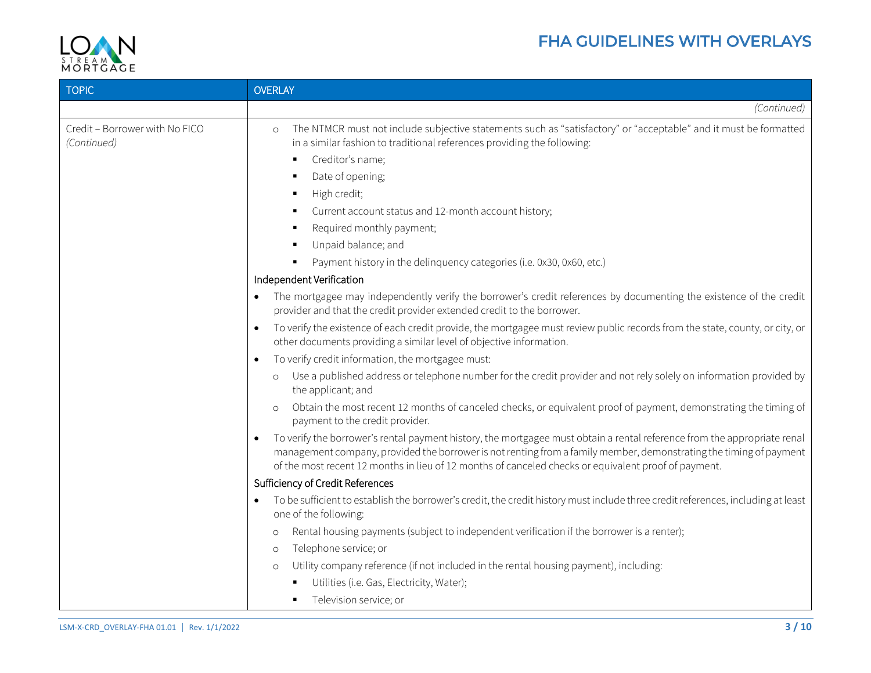



| <b>TOPIC</b>                                  | <b>OVERLAY</b>                                                                                                                                                                                                                                                                                                                                                      |
|-----------------------------------------------|---------------------------------------------------------------------------------------------------------------------------------------------------------------------------------------------------------------------------------------------------------------------------------------------------------------------------------------------------------------------|
|                                               | (Continued)                                                                                                                                                                                                                                                                                                                                                         |
| Credit - Borrower with No FICO<br>(Continued) | The NTMCR must not include subjective statements such as "satisfactory" or "acceptable" and it must be formatted<br>$\circ$<br>in a similar fashion to traditional references providing the following:                                                                                                                                                              |
|                                               | Creditor's name;<br>٠                                                                                                                                                                                                                                                                                                                                               |
|                                               | Date of opening;                                                                                                                                                                                                                                                                                                                                                    |
|                                               | High credit;                                                                                                                                                                                                                                                                                                                                                        |
|                                               | Current account status and 12-month account history;<br>٠                                                                                                                                                                                                                                                                                                           |
|                                               | Required monthly payment;<br>$\blacksquare$                                                                                                                                                                                                                                                                                                                         |
|                                               | Unpaid balance; and                                                                                                                                                                                                                                                                                                                                                 |
|                                               | Payment history in the delinquency categories (i.e. 0x30, 0x60, etc.)<br>$\blacksquare$                                                                                                                                                                                                                                                                             |
|                                               | Independent Verification                                                                                                                                                                                                                                                                                                                                            |
|                                               | The mortgagee may independently verify the borrower's credit references by documenting the existence of the credit<br>$\bullet$<br>provider and that the credit provider extended credit to the borrower.                                                                                                                                                           |
|                                               | To verify the existence of each credit provide, the mortgagee must review public records from the state, county, or city, or<br>other documents providing a similar level of objective information.                                                                                                                                                                 |
|                                               | To verify credit information, the mortgagee must:<br>$\bullet$                                                                                                                                                                                                                                                                                                      |
|                                               | Use a published address or telephone number for the credit provider and not rely solely on information provided by<br>$\circ$<br>the applicant; and                                                                                                                                                                                                                 |
|                                               | Obtain the most recent 12 months of canceled checks, or equivalent proof of payment, demonstrating the timing of<br>payment to the credit provider.                                                                                                                                                                                                                 |
|                                               | To verify the borrower's rental payment history, the mortgagee must obtain a rental reference from the appropriate renal<br>$\bullet$<br>management company, provided the borrower is not renting from a family member, demonstrating the timing of payment<br>of the most recent 12 months in lieu of 12 months of canceled checks or equivalent proof of payment. |
|                                               | Sufficiency of Credit References                                                                                                                                                                                                                                                                                                                                    |
|                                               | To be sufficient to establish the borrower's credit, the credit history must include three credit references, including at least<br>$\bullet$<br>one of the following:                                                                                                                                                                                              |
|                                               | Rental housing payments (subject to independent verification if the borrower is a renter);<br>$\circ$                                                                                                                                                                                                                                                               |
|                                               | Telephone service; or<br>$\circ$                                                                                                                                                                                                                                                                                                                                    |
|                                               | Utility company reference (if not included in the rental housing payment), including:<br>$\circ$                                                                                                                                                                                                                                                                    |
|                                               | Utilities (i.e. Gas, Electricity, Water);                                                                                                                                                                                                                                                                                                                           |
|                                               | Television service; or                                                                                                                                                                                                                                                                                                                                              |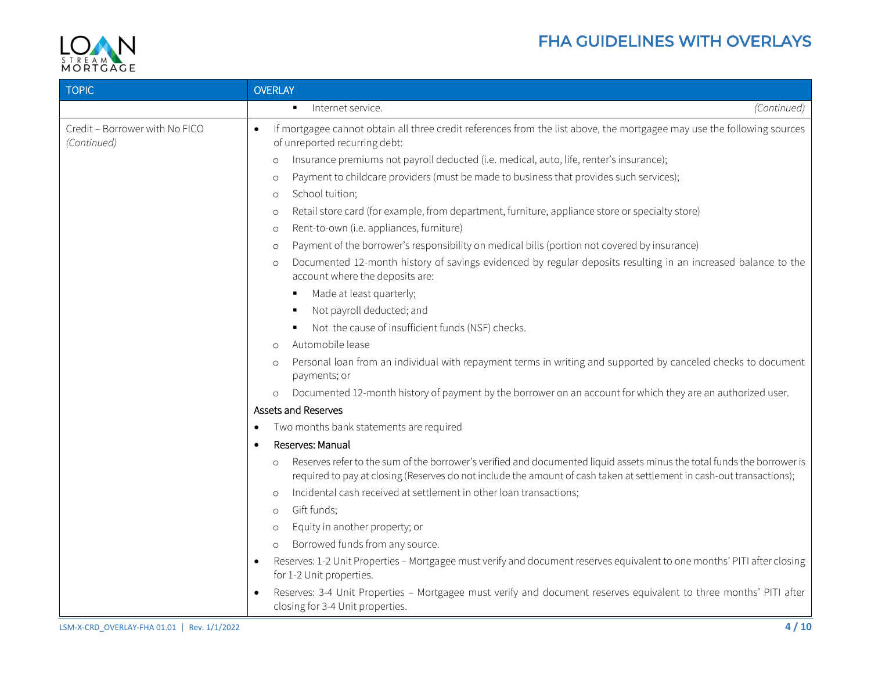## FHA GUIDELINES WITH OVERLAYS



| <b>TOPIC</b>                                  | <b>OVERLAY</b>                                                                                                                                                                                                                                              |
|-----------------------------------------------|-------------------------------------------------------------------------------------------------------------------------------------------------------------------------------------------------------------------------------------------------------------|
|                                               | Internet service.<br>(Continued)                                                                                                                                                                                                                            |
| Credit - Borrower with No FICO<br>(Continued) | If mortgagee cannot obtain all three credit references from the list above, the mortgagee may use the following sources<br>$\bullet$<br>of unreported recurring debt:                                                                                       |
|                                               | Insurance premiums not payroll deducted (i.e. medical, auto, life, renter's insurance);<br>$\circ$                                                                                                                                                          |
|                                               | Payment to childcare providers (must be made to business that provides such services);<br>$\circ$                                                                                                                                                           |
|                                               | School tuition;<br>$\circ$                                                                                                                                                                                                                                  |
|                                               | Retail store card (for example, from department, furniture, appliance store or specialty store)<br>$\circ$                                                                                                                                                  |
|                                               | Rent-to-own (i.e. appliances, furniture)<br>$\circ$                                                                                                                                                                                                         |
|                                               | Payment of the borrower's responsibility on medical bills (portion not covered by insurance)<br>$\circ$                                                                                                                                                     |
|                                               | Documented 12-month history of savings evidenced by regular deposits resulting in an increased balance to the<br>$\circ$<br>account where the deposits are:                                                                                                 |
|                                               | Made at least quarterly;<br>٠                                                                                                                                                                                                                               |
|                                               | Not payroll deducted; and<br>٠                                                                                                                                                                                                                              |
|                                               | Not the cause of insufficient funds (NSF) checks.<br>٠                                                                                                                                                                                                      |
|                                               | Automobile lease<br>$\circ$                                                                                                                                                                                                                                 |
|                                               | Personal loan from an individual with repayment terms in writing and supported by canceled checks to document<br>$\circ$<br>payments; or                                                                                                                    |
|                                               | Documented 12-month history of payment by the borrower on an account for which they are an authorized user.<br>$\circ$                                                                                                                                      |
|                                               | <b>Assets and Reserves</b>                                                                                                                                                                                                                                  |
|                                               | Two months bank statements are required<br>$\bullet$                                                                                                                                                                                                        |
|                                               | Reserves: Manual<br>$\bullet$                                                                                                                                                                                                                               |
|                                               | Reserves refer to the sum of the borrower's verified and documented liquid assets minus the total funds the borrower is<br>$\circ$<br>required to pay at closing (Reserves do not include the amount of cash taken at settlement in cash-out transactions); |
|                                               | Incidental cash received at settlement in other loan transactions;<br>$\circ$                                                                                                                                                                               |
|                                               | Gift funds;<br>$\circ$                                                                                                                                                                                                                                      |
|                                               | Equity in another property; or<br>$\circ$                                                                                                                                                                                                                   |
|                                               | Borrowed funds from any source.<br>$\circ$                                                                                                                                                                                                                  |
|                                               | Reserves: 1-2 Unit Properties - Mortgagee must verify and document reserves equivalent to one months' PITI after closing<br>$\bullet$<br>for 1-2 Unit properties.                                                                                           |
|                                               | Reserves: 3-4 Unit Properties - Mortgagee must verify and document reserves equivalent to three months' PITI after<br>$\bullet$<br>closing for 3-4 Unit properties.                                                                                         |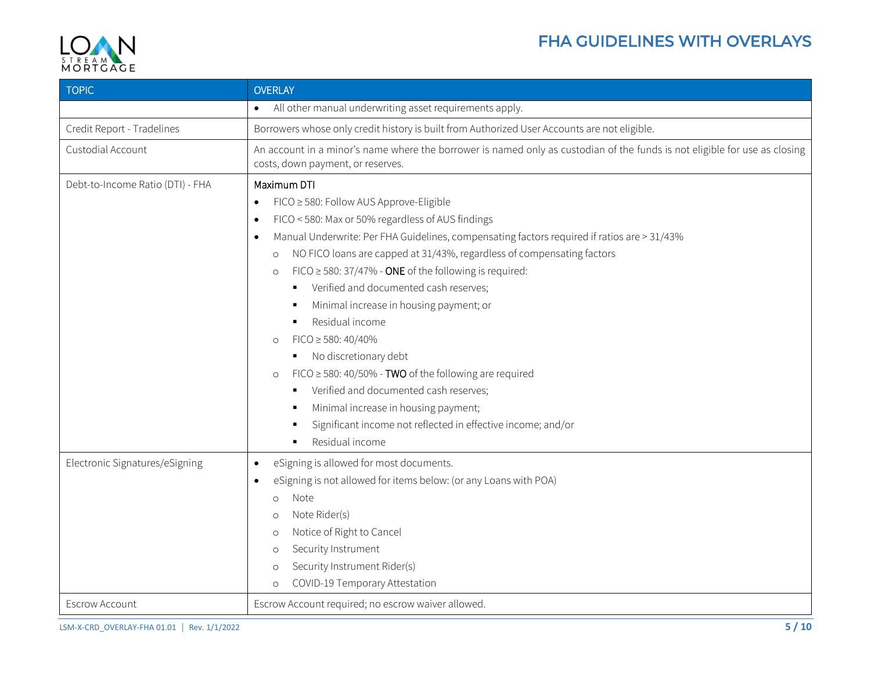

<span id="page-4-0"></span>

| <b>TOPIC</b>                     | <b>OVERLAY</b>                                                                                                                                                                                                                                                                                                                                                                                                                                                                                                                                                                                                                                                                                                                                                                                                                                                                                              |
|----------------------------------|-------------------------------------------------------------------------------------------------------------------------------------------------------------------------------------------------------------------------------------------------------------------------------------------------------------------------------------------------------------------------------------------------------------------------------------------------------------------------------------------------------------------------------------------------------------------------------------------------------------------------------------------------------------------------------------------------------------------------------------------------------------------------------------------------------------------------------------------------------------------------------------------------------------|
|                                  | All other manual underwriting asset requirements apply.<br>$\bullet$                                                                                                                                                                                                                                                                                                                                                                                                                                                                                                                                                                                                                                                                                                                                                                                                                                        |
| Credit Report - Tradelines       | Borrowers whose only credit history is built from Authorized User Accounts are not eligible.                                                                                                                                                                                                                                                                                                                                                                                                                                                                                                                                                                                                                                                                                                                                                                                                                |
| Custodial Account                | An account in a minor's name where the borrower is named only as custodian of the funds is not eligible for use as closing<br>costs, down payment, or reserves.                                                                                                                                                                                                                                                                                                                                                                                                                                                                                                                                                                                                                                                                                                                                             |
| Debt-to-Income Ratio (DTI) - FHA | Maximum DTI<br>FICO ≥ 580: Follow AUS Approve-Eligible<br>$\bullet$<br>FICO < 580: Max or 50% regardless of AUS findings<br>$\bullet$<br>Manual Underwrite: Per FHA Guidelines, compensating factors required if ratios are > 31/43%<br>$\bullet$<br>NO FICO loans are capped at 31/43%, regardless of compensating factors<br>$\circ$<br>FICO $\ge$ 580: 37/47% - ONE of the following is required:<br>$\circ$<br>Verified and documented cash reserves;<br>$\blacksquare$<br>Minimal increase in housing payment; or<br>$\blacksquare$<br>Residual income<br>$FICO \geq 580: 40/40\%$<br>$\circ$<br>No discretionary debt<br>٠<br>FICO $\geq$ 580: 40/50% - TWO of the following are required<br>$\circ$<br>Verified and documented cash reserves;<br>٠<br>Minimal increase in housing payment;<br>Significant income not reflected in effective income; and/or<br>$\blacksquare$<br>Residual income<br>٠ |
| Electronic Signatures/eSigning   | eSigning is allowed for most documents.<br>$\bullet$<br>eSigning is not allowed for items below: (or any Loans with POA)<br>$\bullet$<br>Note<br>$\Omega$<br>Note Rider(s)<br>$\circ$<br>Notice of Right to Cancel<br>$\circ$<br>Security Instrument<br>$\circ$<br>Security Instrument Rider(s)<br>$\circ$<br>COVID-19 Temporary Attestation<br>$\circ$                                                                                                                                                                                                                                                                                                                                                                                                                                                                                                                                                     |
| Escrow Account                   | Escrow Account required; no escrow waiver allowed.                                                                                                                                                                                                                                                                                                                                                                                                                                                                                                                                                                                                                                                                                                                                                                                                                                                          |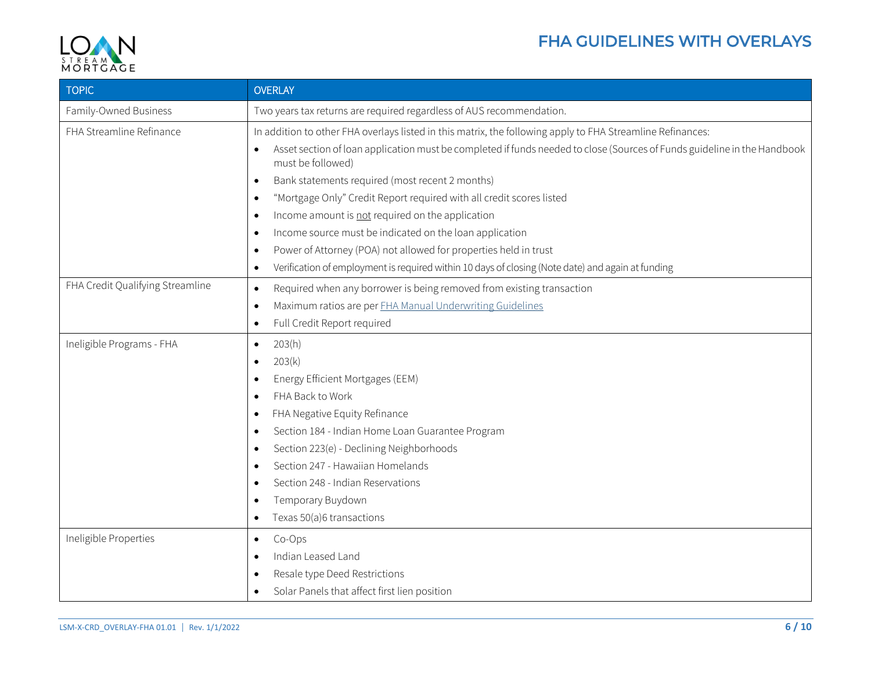

<span id="page-5-0"></span>

| <b>TOPIC</b>                     | <b>OVERLAY</b>                                                                                                                                                                                                                                                                                                                                                                                                                                                                                                                                                                                                                                                                                                                                                            |
|----------------------------------|---------------------------------------------------------------------------------------------------------------------------------------------------------------------------------------------------------------------------------------------------------------------------------------------------------------------------------------------------------------------------------------------------------------------------------------------------------------------------------------------------------------------------------------------------------------------------------------------------------------------------------------------------------------------------------------------------------------------------------------------------------------------------|
| Family-Owned Business            | Two years tax returns are required regardless of AUS recommendation.                                                                                                                                                                                                                                                                                                                                                                                                                                                                                                                                                                                                                                                                                                      |
| FHA Streamline Refinance         | In addition to other FHA overlays listed in this matrix, the following apply to FHA Streamline Refinances:<br>Asset section of loan application must be completed if funds needed to close (Sources of Funds guideline in the Handbook<br>$\bullet$<br>must be followed)<br>Bank statements required (most recent 2 months)<br>$\bullet$<br>"Mortgage Only" Credit Report required with all credit scores listed<br>$\bullet$<br>Income amount is not required on the application<br>$\bullet$<br>Income source must be indicated on the loan application<br>$\bullet$<br>Power of Attorney (POA) not allowed for properties held in trust<br>$\bullet$<br>Verification of employment is required within 10 days of closing (Note date) and again at funding<br>$\bullet$ |
| FHA Credit Qualifying Streamline | Required when any borrower is being removed from existing transaction<br>$\bullet$<br>Maximum ratios are per FHA Manual Underwriting Guidelines<br>$\bullet$<br>Full Credit Report required<br>$\bullet$                                                                                                                                                                                                                                                                                                                                                                                                                                                                                                                                                                  |
| Ineligible Programs - FHA        | 203(h)<br>$\bullet$<br>203(k)<br>$\bullet$<br>Energy Efficient Mortgages (EEM)<br>$\bullet$<br>FHA Back to Work<br>$\bullet$<br>FHA Negative Equity Refinance<br>$\bullet$<br>Section 184 - Indian Home Loan Guarantee Program<br>$\bullet$<br>Section 223(e) - Declining Neighborhoods<br>$\bullet$<br>Section 247 - Hawaiian Homelands<br>$\bullet$<br>Section 248 - Indian Reservations<br>$\bullet$<br>Temporary Buydown<br>$\bullet$<br>Texas 50(a)6 transactions<br>$\bullet$                                                                                                                                                                                                                                                                                       |
| Ineligible Properties            | Co-Ops<br>$\bullet$<br>Indian Leased Land<br>$\bullet$<br>Resale type Deed Restrictions<br>$\bullet$<br>Solar Panels that affect first lien position<br>$\bullet$                                                                                                                                                                                                                                                                                                                                                                                                                                                                                                                                                                                                         |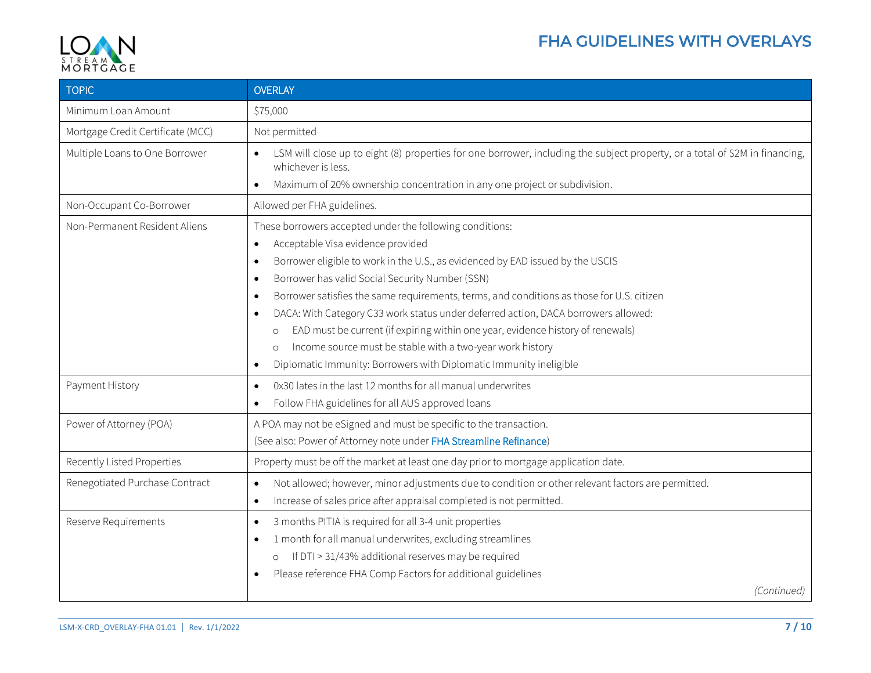

## FHA GUIDELINES WITH OVERLAYS

| <b>TOPIC</b>                      | <b>OVERLAY</b>                                                                                                                                                                                                                                                                                                                                                                                                                                                                                                                                                                                                                                                                                                                                  |
|-----------------------------------|-------------------------------------------------------------------------------------------------------------------------------------------------------------------------------------------------------------------------------------------------------------------------------------------------------------------------------------------------------------------------------------------------------------------------------------------------------------------------------------------------------------------------------------------------------------------------------------------------------------------------------------------------------------------------------------------------------------------------------------------------|
| Minimum Loan Amount               | \$75,000                                                                                                                                                                                                                                                                                                                                                                                                                                                                                                                                                                                                                                                                                                                                        |
| Mortgage Credit Certificate (MCC) | Not permitted                                                                                                                                                                                                                                                                                                                                                                                                                                                                                                                                                                                                                                                                                                                                   |
| Multiple Loans to One Borrower    | LSM will close up to eight (8) properties for one borrower, including the subject property, or a total of \$2M in financing,<br>$\bullet$<br>whichever is less.<br>Maximum of 20% ownership concentration in any one project or subdivision.<br>$\bullet$                                                                                                                                                                                                                                                                                                                                                                                                                                                                                       |
| Non-Occupant Co-Borrower          | Allowed per FHA guidelines.                                                                                                                                                                                                                                                                                                                                                                                                                                                                                                                                                                                                                                                                                                                     |
| Non-Permanent Resident Aliens     | These borrowers accepted under the following conditions:<br>Acceptable Visa evidence provided<br>$\bullet$<br>Borrower eligible to work in the U.S., as evidenced by EAD issued by the USCIS<br>$\bullet$<br>Borrower has valid Social Security Number (SSN)<br>$\bullet$<br>Borrower satisfies the same requirements, terms, and conditions as those for U.S. citizen<br>$\bullet$<br>DACA: With Category C33 work status under deferred action, DACA borrowers allowed:<br>$\bullet$<br>EAD must be current (if expiring within one year, evidence history of renewals)<br>$\circ$<br>Income source must be stable with a two-year work history<br>$\circ$<br>Diplomatic Immunity: Borrowers with Diplomatic Immunity ineligible<br>$\bullet$ |
| Payment History                   | 0x30 lates in the last 12 months for all manual underwrites<br>$\bullet$<br>Follow FHA guidelines for all AUS approved loans<br>$\bullet$                                                                                                                                                                                                                                                                                                                                                                                                                                                                                                                                                                                                       |
| Power of Attorney (POA)           | A POA may not be eSigned and must be specific to the transaction.<br>(See also: Power of Attorney note under FHA Streamline Refinance)                                                                                                                                                                                                                                                                                                                                                                                                                                                                                                                                                                                                          |
| Recently Listed Properties        | Property must be off the market at least one day prior to mortgage application date.                                                                                                                                                                                                                                                                                                                                                                                                                                                                                                                                                                                                                                                            |
| Renegotiated Purchase Contract    | Not allowed; however, minor adjustments due to condition or other relevant factors are permitted.<br>$\bullet$<br>Increase of sales price after appraisal completed is not permitted.<br>$\bullet$                                                                                                                                                                                                                                                                                                                                                                                                                                                                                                                                              |
| Reserve Requirements              | 3 months PITIA is required for all 3-4 unit properties<br>$\bullet$<br>1 month for all manual underwrites, excluding streamlines<br>$\bullet$<br>If DTI > 31/43% additional reserves may be required<br>$\circ$<br>Please reference FHA Comp Factors for additional guidelines<br>$\bullet$<br>(Continued)                                                                                                                                                                                                                                                                                                                                                                                                                                      |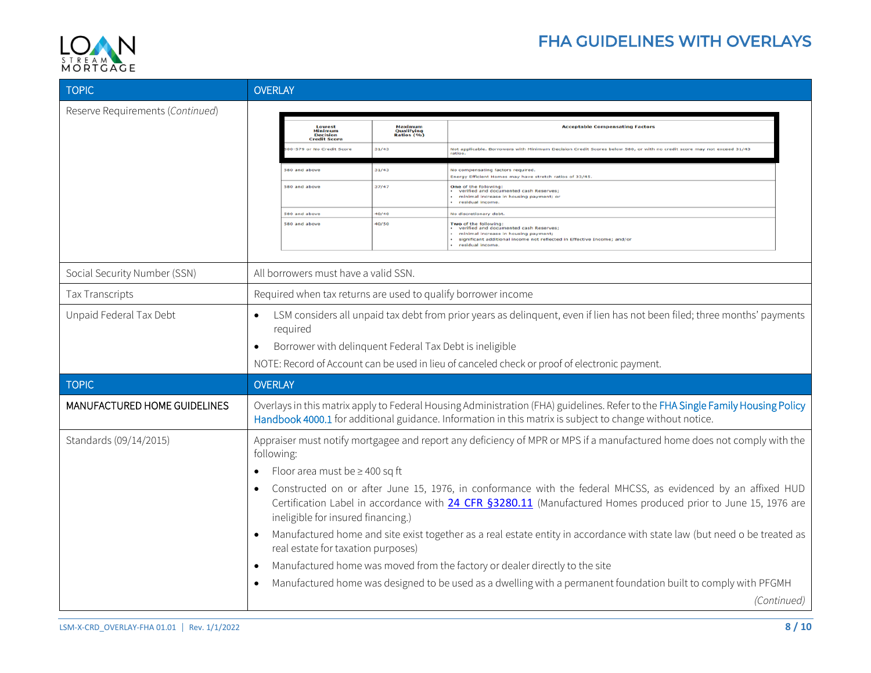

## FHA GUIDELINES WITH OVERLAYS

| <b>TOPIC</b>                     | <b>OVERLAY</b>                                                                                                                                     |                                     |                                                                                                                                                                                                                                             |  |  |
|----------------------------------|----------------------------------------------------------------------------------------------------------------------------------------------------|-------------------------------------|---------------------------------------------------------------------------------------------------------------------------------------------------------------------------------------------------------------------------------------------|--|--|
| Reserve Requirements (Continued) |                                                                                                                                                    |                                     |                                                                                                                                                                                                                                             |  |  |
|                                  | Lowest<br>Minimum<br>Decision<br>Credit Score                                                                                                      | Maximum<br>Qualifying<br>Ratios (%) | <b>Acceptable Compensating Factor</b>                                                                                                                                                                                                       |  |  |
|                                  | -579 or No Credit Scon                                                                                                                             | 31/43                               | Not applicable. Borrowers with Min<br>num Decision Credit Scores below 580, or with no credit score may not exceed 31/43<br>ration                                                                                                          |  |  |
|                                  | 580 and above                                                                                                                                      | 31/43                               | No compensating factors required<br><b>Energy Efficient Homes may have stretch ratios of 33/45</b>                                                                                                                                          |  |  |
|                                  | 580 and above                                                                                                                                      | 37/47                               | One of the following:<br>verified and documented cash Reserves;<br>minimal increase in housing payment; or<br>residual income.                                                                                                              |  |  |
|                                  | 580 and above                                                                                                                                      | 40/40                               | No discretionary debt                                                                                                                                                                                                                       |  |  |
|                                  | 580 and above                                                                                                                                      | 40/50                               | Two of the following:<br>• verified and documented cash Reserves;<br>minimal increase in housing payment;<br>significant additional income not reflected in Effective Income; and/or<br>residual income.                                    |  |  |
|                                  |                                                                                                                                                    |                                     |                                                                                                                                                                                                                                             |  |  |
| Social Security Number (SSN)     | All borrowers must have a valid SSN.                                                                                                               |                                     |                                                                                                                                                                                                                                             |  |  |
| <b>Tax Transcripts</b>           | Required when tax returns are used to qualify borrower income                                                                                      |                                     |                                                                                                                                                                                                                                             |  |  |
| Unpaid Federal Tax Debt          | LSM considers all unpaid tax debt from prior years as delinguent, even if lien has not been filed; three months' payments<br>$\bullet$<br>required |                                     |                                                                                                                                                                                                                                             |  |  |
|                                  | Borrower with delinquent Federal Tax Debt is ineligible                                                                                            |                                     |                                                                                                                                                                                                                                             |  |  |
|                                  |                                                                                                                                                    |                                     | NOTE: Record of Account can be used in lieu of canceled check or proof of electronic payment.                                                                                                                                               |  |  |
| <b>TOPIC</b>                     | <b>OVERLAY</b>                                                                                                                                     |                                     |                                                                                                                                                                                                                                             |  |  |
| MANUFACTURED HOME GUIDELINES     |                                                                                                                                                    |                                     | Overlays in this matrix apply to Federal Housing Administration (FHA) guidelines. Refer to the FHA Single Family Housing Policy<br>Handbook 4000.1 for additional guidance. Information in this matrix is subject to change without notice. |  |  |
| Standards (09/14/2015)           | following:                                                                                                                                         |                                     | Appraiser must notify mortgagee and report any deficiency of MPR or MPS if a manufactured home does not comply with the                                                                                                                     |  |  |
|                                  | Floor area must be $\geq$ 400 sq ft<br>$\bullet$                                                                                                   |                                     |                                                                                                                                                                                                                                             |  |  |
|                                  | $\bullet$<br>ineligible for insured financing.)                                                                                                    |                                     | Constructed on or after June 15, 1976, in conformance with the federal MHCSS, as evidenced by an affixed HUD<br>Certification Label in accordance with 24 CFR §3280.11 (Manufactured Homes produced prior to June 15, 1976 are              |  |  |
|                                  | $\bullet$<br>real estate for taxation purposes)                                                                                                    |                                     | Manufactured home and site exist together as a real estate entity in accordance with state law (but need o be treated as                                                                                                                    |  |  |
|                                  | $\bullet$                                                                                                                                          |                                     | Manufactured home was moved from the factory or dealer directly to the site                                                                                                                                                                 |  |  |
|                                  | $\bullet$                                                                                                                                          |                                     | Manufactured home was designed to be used as a dwelling with a permanent foundation built to comply with PFGMH                                                                                                                              |  |  |
|                                  |                                                                                                                                                    |                                     | (Continued)                                                                                                                                                                                                                                 |  |  |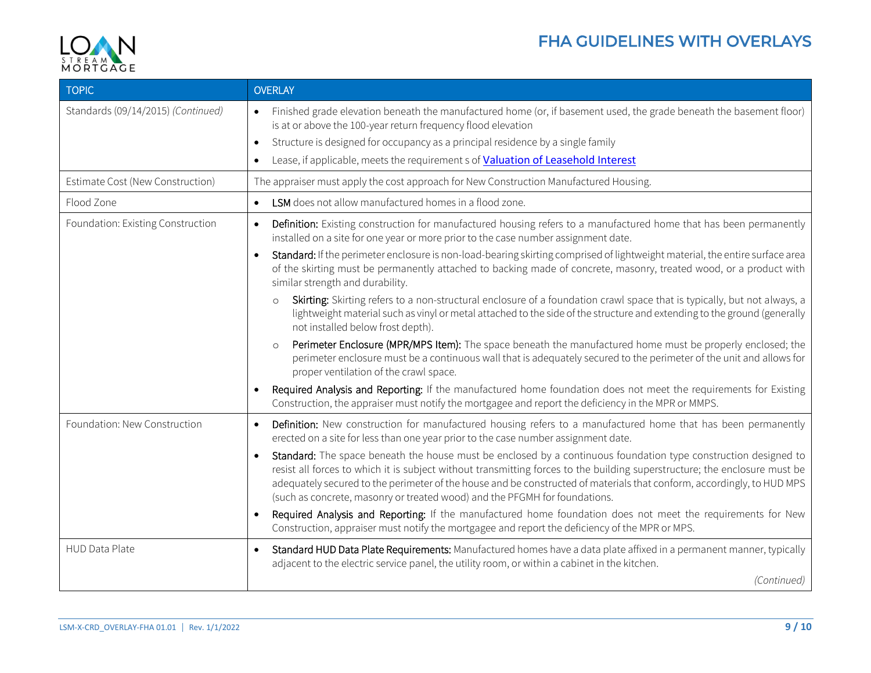

| <b>TOPIC</b>                       | <b>OVERLAY</b>                                                                                                                                                                                                                                                                                                                                                                                                                                                     |
|------------------------------------|--------------------------------------------------------------------------------------------------------------------------------------------------------------------------------------------------------------------------------------------------------------------------------------------------------------------------------------------------------------------------------------------------------------------------------------------------------------------|
| Standards (09/14/2015) (Continued) | Finished grade elevation beneath the manufactured home (or, if basement used, the grade beneath the basement floor)<br>$\bullet$<br>is at or above the 100-year return frequency flood elevation                                                                                                                                                                                                                                                                   |
|                                    | Structure is designed for occupancy as a principal residence by a single family<br>$\bullet$                                                                                                                                                                                                                                                                                                                                                                       |
|                                    | Lease, if applicable, meets the requirement s of Valuation of Leasehold Interest<br>$\bullet$                                                                                                                                                                                                                                                                                                                                                                      |
| Estimate Cost (New Construction)   | The appraiser must apply the cost approach for New Construction Manufactured Housing.                                                                                                                                                                                                                                                                                                                                                                              |
| Flood Zone                         | LSM does not allow manufactured homes in a flood zone.<br>$\bullet$                                                                                                                                                                                                                                                                                                                                                                                                |
| Foundation: Existing Construction  | Definition: Existing construction for manufactured housing refers to a manufactured home that has been permanently<br>$\bullet$<br>installed on a site for one year or more prior to the case number assignment date.                                                                                                                                                                                                                                              |
|                                    | Standard: If the perimeter enclosure is non-load-bearing skirting comprised of lightweight material, the entire surface area<br>of the skirting must be permanently attached to backing made of concrete, masonry, treated wood, or a product with<br>similar strength and durability.                                                                                                                                                                             |
|                                    | Skirting: Skirting refers to a non-structural enclosure of a foundation crawl space that is typically, but not always, a<br>$\circ$<br>lightweight material such as vinyl or metal attached to the side of the structure and extending to the ground (generally<br>not installed below frost depth).                                                                                                                                                               |
|                                    | Perimeter Enclosure (MPR/MPS Item): The space beneath the manufactured home must be properly enclosed; the<br>perimeter enclosure must be a continuous wall that is adequately secured to the perimeter of the unit and allows for<br>proper ventilation of the crawl space.                                                                                                                                                                                       |
|                                    | Required Analysis and Reporting: If the manufactured home foundation does not meet the requirements for Existing<br>$\bullet$<br>Construction, the appraiser must notify the mortgagee and report the deficiency in the MPR or MMPS.                                                                                                                                                                                                                               |
| Foundation: New Construction       | Definition: New construction for manufactured housing refers to a manufactured home that has been permanently<br>$\bullet$<br>erected on a site for less than one year prior to the case number assignment date.                                                                                                                                                                                                                                                   |
|                                    | Standard: The space beneath the house must be enclosed by a continuous foundation type construction designed to<br>$\bullet$<br>resist all forces to which it is subject without transmitting forces to the building superstructure; the enclosure must be<br>adequately secured to the perimeter of the house and be constructed of materials that conform, accordingly, to HUD MPS<br>(such as concrete, masonry or treated wood) and the PFGMH for foundations. |
|                                    | Required Analysis and Reporting: If the manufactured home foundation does not meet the requirements for New<br>$\bullet$<br>Construction, appraiser must notify the mortgagee and report the deficiency of the MPR or MPS.                                                                                                                                                                                                                                         |
| HUD Data Plate                     | Standard HUD Data Plate Requirements: Manufactured homes have a data plate affixed in a permanent manner, typically<br>$\bullet$<br>adjacent to the electric service panel, the utility room, or within a cabinet in the kitchen.                                                                                                                                                                                                                                  |
|                                    | (Continued)                                                                                                                                                                                                                                                                                                                                                                                                                                                        |